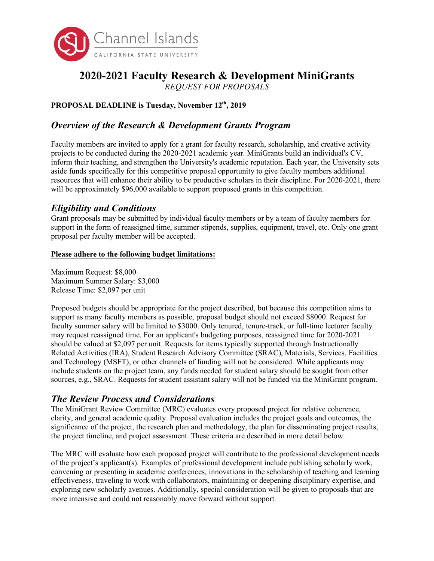

# **2020-2021 Faculty Research & Development MiniGrants**

*REQUEST FOR PROPOSALS*

## PROPOSAL DEADLINE is Tuesday, November 12<sup>th</sup>, 2019

# *Overview of the Research & Development Grants Program*

Faculty members are invited to apply for a grant for faculty research, scholarship, and creative activity projects to be conducted during the 2020-2021 academic year. MiniGrants build an individual's CV, inform their teaching, and strengthen the University's academic reputation. Each year, the University sets aside funds specifically for this competitive proposal opportunity to give faculty members additional resources that will enhance their ability to be productive scholars in their discipline. For 2020-2021, there will be approximately \$96,000 available to support proposed grants in this competition.

## *Eligibility and Conditions*

Grant proposals may be submitted by individual faculty members or by a team of faculty members for support in the form of reassigned time, summer stipends, supplies, equipment, travel, etc. Only one grant proposal per faculty member will be accepted.

#### **Please adhere to the following budget limitations:**

Maximum Request: \$8,000 Maximum Summer Salary: \$3,000 Release Time: \$2,097 per unit

Proposed budgets should be appropriate for the project described, but because this competition aims to support as many faculty members as possible, proposal budget should not exceed \$8000. Request for faculty summer salary will be limited to \$3000. Only tenured, tenure-track, or full-time lecturer faculty may request reassigned time. For an applicant's budgeting purposes, reassigned time for 2020-2021 should be valued at \$2,097 per unit. Requests for items typically supported through Instructionally Related Activities (IRA), Student Research Advisory Committee (SRAC), Materials, Services, Facilities and Technology (MSFT), or other channels of funding will not be considered. While applicants may include students on the project team, any funds needed for student salary should be sought from other sources, e.g., SRAC. Requests for student assistant salary will not be funded via the MiniGrant program.

# *The Review Process and Considerations*

The MiniGrant Review Committee (MRC) evaluates every proposed project for relative coherence, clarity, and general academic quality. Proposal evaluation includes the project goals and outcomes, the significance of the project, the research plan and methodology, the plan for disseminating project results, the project timeline, and project assessment. These criteria are described in more detail below.

The MRC will evaluate how each proposed project will contribute to the professional development needs of the project's applicant(s). Examples of professional development include publishing scholarly work, convening or presenting in academic conferences, innovations in the scholarship of teaching and learning effectiveness, traveling to work with collaborators, maintaining or deepening disciplinary expertise, and exploring new scholarly avenues. Additionally, special consideration will be given to proposals that are more intensive and could not reasonably move forward without support.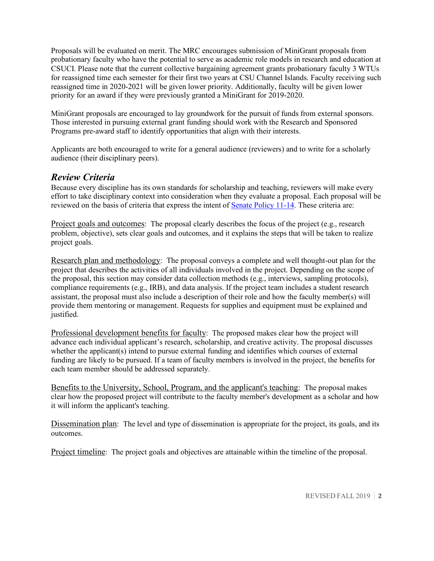Proposals will be evaluated on merit. The MRC encourages submission of MiniGrant proposals from probationary faculty who have the potential to serve as academic role models in research and education at CSUCI. Please note that the current collective bargaining agreement grants probationary faculty 3 WTUs for reassigned time each semester for their first two years at CSU Channel Islands. Faculty receiving such reassigned time in 2020-2021 will be given lower priority. Additionally, faculty will be given lower priority for an award if they were previously granted a MiniGrant for 2019-2020.

MiniGrant proposals are encouraged to lay groundwork for the pursuit of funds from external sponsors. Those interested in pursuing external grant funding should work with the Research and Sponsored Programs pre-award staff to identify opportunities that align with their interests.

Applicants are both encouraged to write for a general audience (reviewers) and to write for a scholarly audience (their disciplinary peers).

### *Review Criteria*

Because every discipline has its own standards for scholarship and teaching, reviewers will make every effort to take disciplinary context into consideration when they evaluate a proposal. Each proposal will be reviewed on the basis of criteria that express the intent of Senate Policy 11-14. These criteria are:

Project goals and outcomes: The proposal clearly describes the focus of the project (e.g., research problem, objective), sets clear goals and outcomes, and it explains the steps that will be taken to realize project goals.

Research plan and methodology: The proposal conveys a complete and well thought-out plan for the project that describes the activities of all individuals involved in the project. Depending on the scope of the proposal, this section may consider data collection methods (e.g., interviews, sampling protocols), compliance requirements (e.g., IRB), and data analysis. If the project team includes a student research assistant, the proposal must also include a description of their role and how the faculty member(s) will provide them mentoring or management. Requests for supplies and equipment must be explained and justified.

Professional development benefits for faculty: The proposed makes clear how the project will advance each individual applicant's research, scholarship, and creative activity. The proposal discusses whether the applicant(s) intend to pursue external funding and identifies which courses of external funding are likely to be pursued. If a team of faculty members is involved in the project, the benefits for each team member should be addressed separately.

Benefits to the University, School, Program, and the applicant's teaching: The proposal makes clear how the proposed project will contribute to the faculty member's development as a scholar and how it will inform the applicant's teaching.

Dissemination plan: The level and type of dissemination is appropriate for the project, its goals, and its outcomes.

Project timeline: The project goals and objectives are attainable within the timeline of the proposal.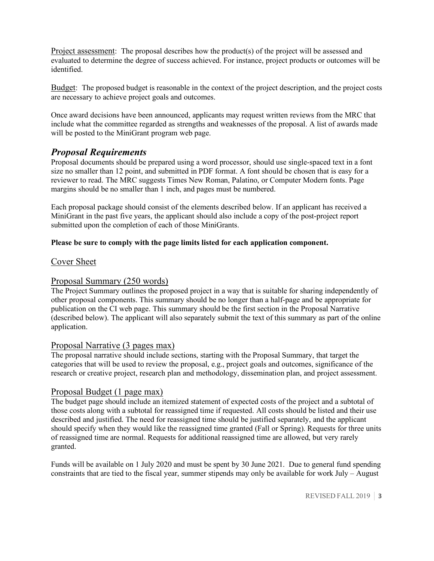Project assessment: The proposal describes how the product(s) of the project will be assessed and evaluated to determine the degree of success achieved. For instance, project products or outcomes will be identified.

Budget: The proposed budget is reasonable in the context of the project description, and the project costs are necessary to achieve project goals and outcomes.

Once award decisions have been announced, applicants may request written reviews from the MRC that include what the committee regarded as strengths and weaknesses of the proposal. A list of awards made will be posted to the MiniGrant program web page.

## *Proposal Requirements*

Proposal documents should be prepared using a word processor, should use single-spaced text in a font size no smaller than 12 point, and submitted in PDF format. A font should be chosen that is easy for a reviewer to read. The MRC suggests Times New Roman, Palatino, or Computer Modern fonts. Page margins should be no smaller than 1 inch, and pages must be numbered.

Each proposal package should consist of the elements described below. If an applicant has received a MiniGrant in the past five years, the applicant should also include a copy of the post-project report submitted upon the completion of each of those MiniGrants.

#### **Please be sure to comply with the page limits listed for each application component.**

#### Cover Sheet

#### Proposal Summary (250 words)

The Project Summary outlines the proposed project in a way that is suitable for sharing independently of other proposal components. This summary should be no longer than a half-page and be appropriate for publication on the CI web page. This summary should be the first section in the Proposal Narrative (described below). The applicant will also separately submit the text of this summary as part of the online application.

#### Proposal Narrative (3 pages max)

The proposal narrative should include sections, starting with the Proposal Summary, that target the categories that will be used to review the proposal, e.g., project goals and outcomes, significance of the research or creative project, research plan and methodology, dissemination plan, and project assessment.

#### Proposal Budget (1 page max)

The budget page should include an itemized statement of expected costs of the project and a subtotal of those costs along with a subtotal for reassigned time if requested. All costs should be listed and their use described and justified. The need for reassigned time should be justified separately, and the applicant should specify when they would like the reassigned time granted (Fall or Spring). Requests for three units of reassigned time are normal. Requests for additional reassigned time are allowed, but very rarely granted.

Funds will be available on 1 July 2020 and must be spent by 30 June 2021. Due to general fund spending constraints that are tied to the fiscal year, summer stipends may only be available for work July – August